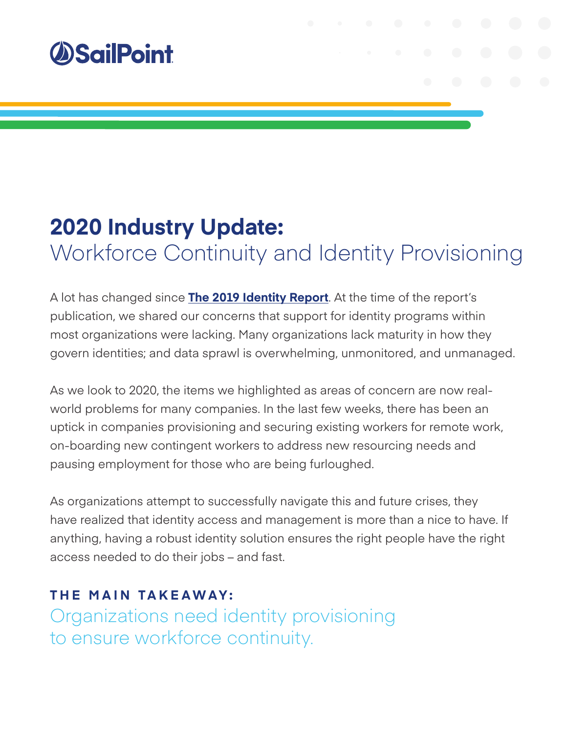

# **2020 Industry Update:**  Workforce Continuity and Identity Provisioning

A lot has changed since **[The 2019 Identity Report](https://www.sailpoint.com/identity-library/identity-risk-report/)**. At the time of the report's publication, we shared our concerns that support for identity programs within most organizations were lacking. Many organizations lack maturity in how they govern identities; and data sprawl is overwhelming, unmonitored, and unmanaged.

As we look to 2020, the items we highlighted as areas of concern are now realworld problems for many companies. In the last few weeks, there has been an uptick in companies provisioning and securing existing workers for remote work, on-boarding new contingent workers to address new resourcing needs and pausing employment for those who are being furloughed.

As organizations attempt to successfully navigate this and future crises, they have realized that identity access and management is more than a nice to have. If anything, having a robust identity solution ensures the right people have the right access needed to do their jobs – and fast.

### **THE MAIN TAKEAWAY:**

Organizations need identity provisioning to ensure workforce continuity.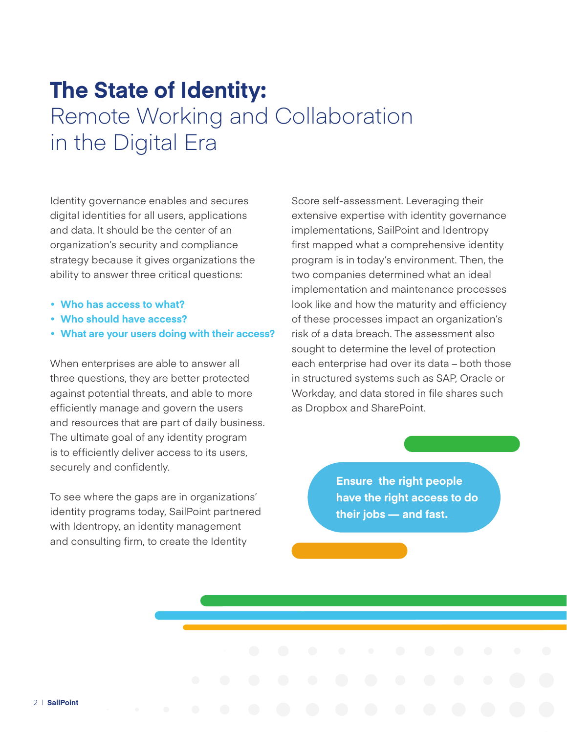## **The State of Identity:**  Remote Working and Collaboration in the Digital Era

Identity governance enables and secures digital identities for all users, applications and data. It should be the center of an organization's security and compliance strategy because it gives organizations the ability to answer three critical questions:

- **Who has access to what?**
- **Who should have access?**
- **What are your users doing with their access?**

When enterprises are able to answer all three questions, they are better protected against potential threats, and able to more efficiently manage and govern the users and resources that are part of daily business. The ultimate goal of any identity program is to efficiently deliver access to its users, securely and confidently.

To see where the gaps are in organizations' identity programs today, SailPoint partnered with Identropy, an identity management and consulting firm, to create the Identity

Score self-assessment. Leveraging their extensive expertise with identity governance implementations, SailPoint and Identropy first mapped what a comprehensive identity program is in today's environment. Then, the two companies determined what an ideal implementation and maintenance processes look like and how the maturity and efficiency of these processes impact an organization's risk of a data breach. The assessment also sought to determine the level of protection each enterprise had over its data – both those in structured systems such as SAP, Oracle or Workday, and data stored in file shares such as Dropbox and SharePoint.

> **Ensure the right people have the right access to do their jobs — and fast.**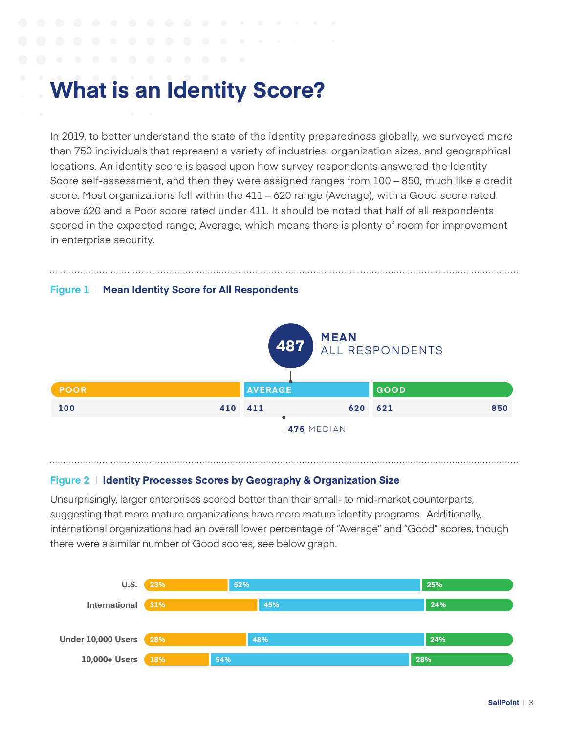## **What is an Identity Score?**

In 2019, to better understand the state of the identity preparedness globally, we surveyed more than 750 individuals that represent a variety of industries, organization sizes, and geographical locations. An identity score is based upon how survey respondents answered the Identity Score self-assessment, and then they were assigned ranges from 100 – 850, much like a credit score. Most organizations fell within the 411 – 620 range (Average), with a Good score rated above 620 and a Poor score rated under 411. It should be noted that half of all respondents scored in the expected range, Average, which means there is plenty of room for improvement in enterprise security.



## **Figure 2**  $\parallel$  Identity Processes Scores by Geography & Organization Size

**56%**

**Healthcare**

Unsurprisingly, larger enterprises scored better than their small- to mid-market counterparts, **Manufacturing 32% 22% 46%** suggesting that more mature organizations have more mature identity programs. Additionally, **Retail 334** international organizations had an overall lower percentage of "Average" and "Good" scores, though **Energy & Utilities 35% 30% 35% Healthcare 462**  $t$ here were a similar number of Good scores, see below graph.

**20% 24%**